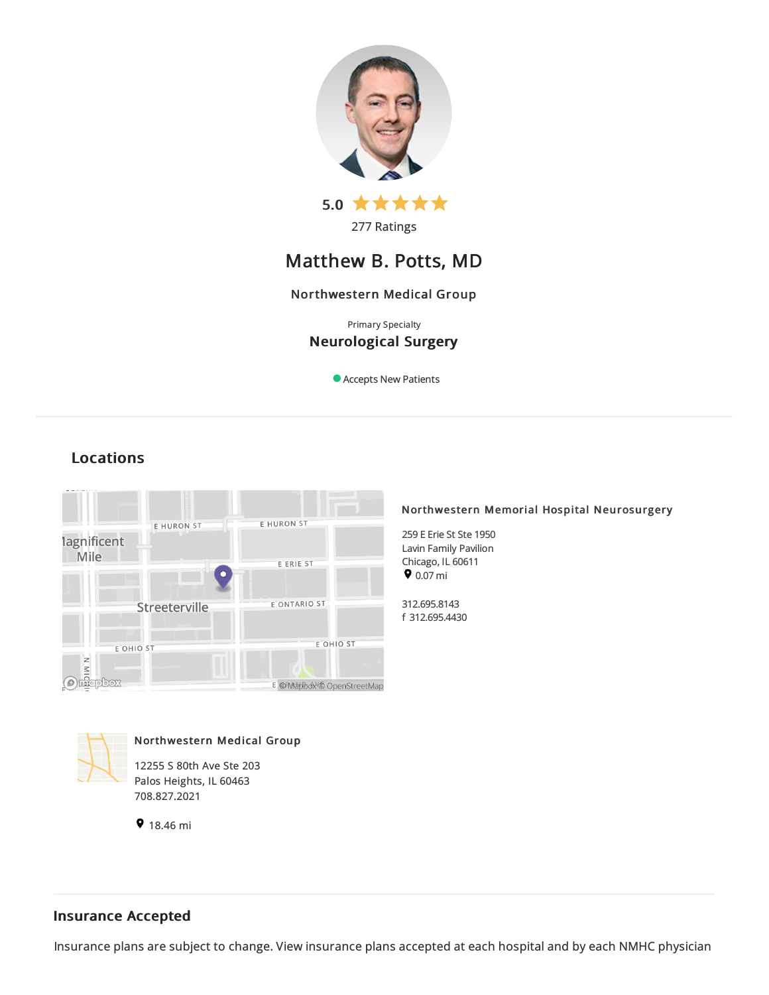

# Matthew B. Potts, MD

## Northwestern Medical Group

## Primary Specialty Neurological Surgery

Accepts New Patients

## Locations



## Northwestern Memorial Hospital Neurosurgery

259 E Erie St Ste 1950 Lavin Family Pavilion Chicago, IL 60611  $9.07 \text{ mi}$ 

312.695.8143 f 312.695.4430



Northwestern Medical Group

12255 S 80th Ave Ste 203 Palos Heights, IL 60463 708.827.2021

9 18.46 mi

## Insurance Accepted

Insurance plans are subject to change. View [insurance](https://www.nm.org/patients-and-visitors/billing-and-insurance/insurance-information/accepted-insurance-plans) plans accepted at each hospital and by each NMHC physician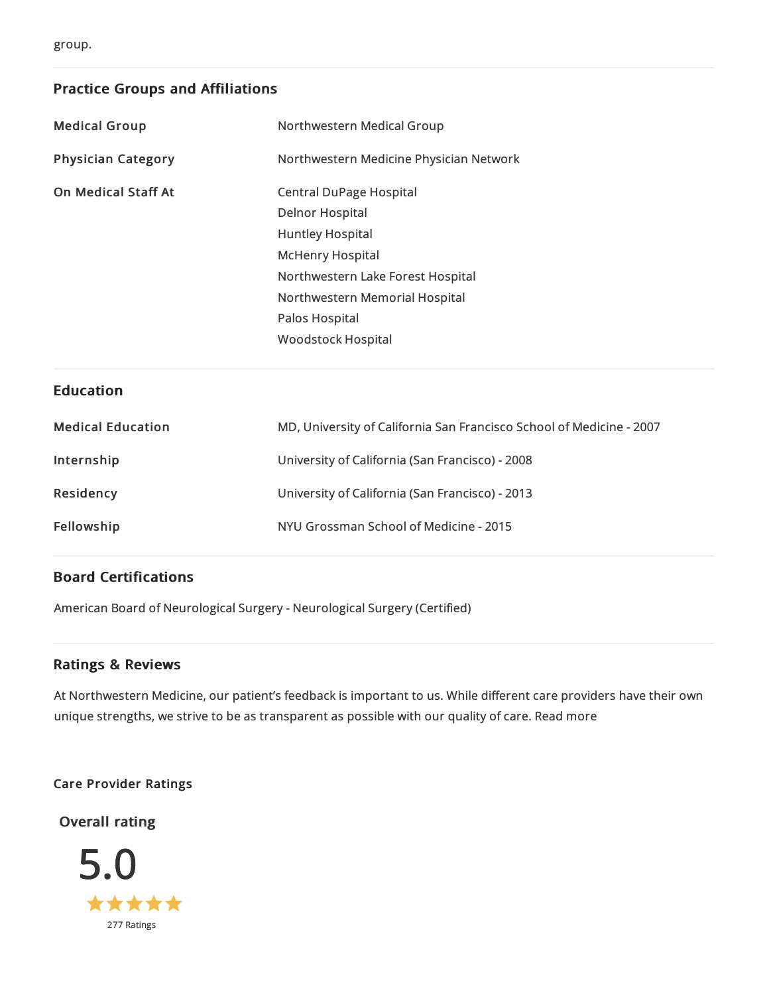## Practice Groups and Affiliations

| <b>Medical Group</b>       | Northwestern Medical Group              |
|----------------------------|-----------------------------------------|
| <b>Physician Category</b>  | Northwestern Medicine Physician Network |
| <b>On Medical Staff At</b> | <b>Central DuPage Hospital</b>          |
|                            | <b>Delnor Hospital</b>                  |
|                            | <b>Huntley Hospital</b>                 |
|                            | <b>McHenry Hospital</b>                 |
|                            | Northwestern Lake Forest Hospital       |
|                            | Northwestern Memorial Hospital          |
|                            | Palos Hospital                          |
|                            | <b>Woodstock Hospital</b>               |
|                            |                                         |
| <b>Education</b>           |                                         |

| <b>Medical Education</b> | MD, University of California San Francisco School of Medicine - 2007 |
|--------------------------|----------------------------------------------------------------------|
| Internship               | University of California (San Francisco) - 2008                      |
| Residency                | University of California (San Francisco) - 2013                      |
| Fellowship               | NYU Grossman School of Medicine - 2015                               |

## Board Certifications

American Board of Neurological Surgery - Neurological Surgery (Certified)

## Ratings & Reviews

At Northwestern Medicine, our patient's feedback is important to us. While different care providers have their own unique strengths, we strive to be as transparent as possible with our quality of care. Read more

Care Provider Ratings

Overall rating

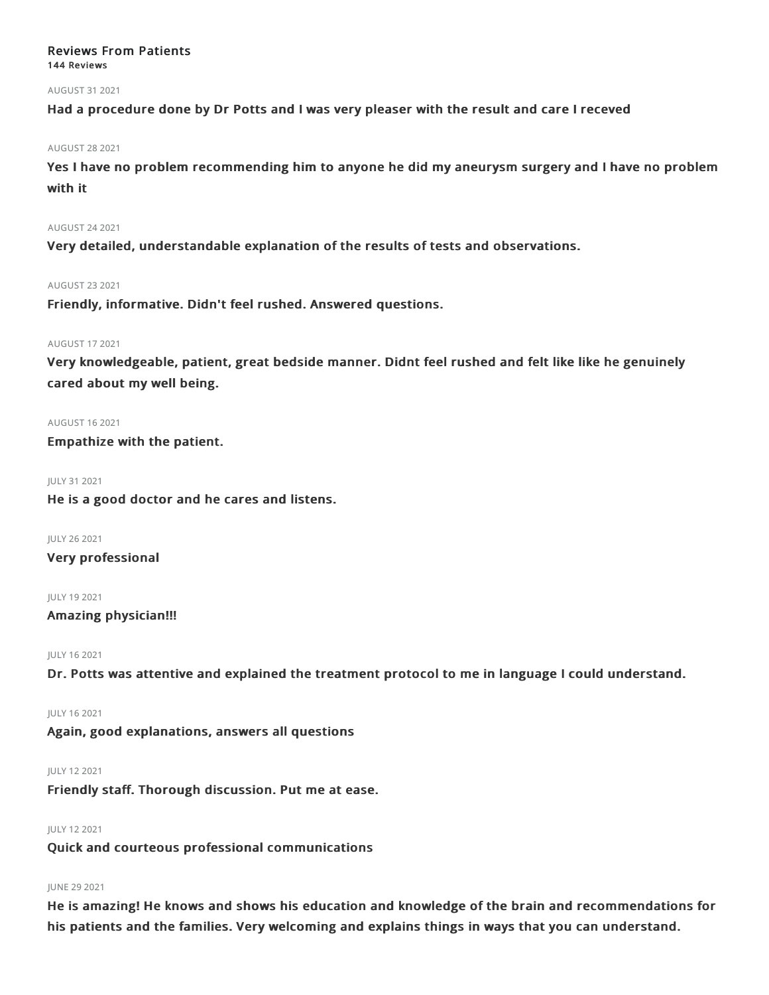## Reviews From Patients 144 Reviews

### AUGUST 312021

Had a procedure done by Dr Potts and I was very pleaser with the result and care I receved

#### AUGUST 282021

Yes I have no problem recommending him to anyone he did my aneurysm surgery and I have no problem with it

### AUGUST 242021

Very detailed, understandable explanation of the results of tests and observations.

### AUGUST 232021

Friendly, informative. Didn't feel rushed. Answered questions.

### AUGUST 172021

Very knowledgeable, patient, great bedside manner. Didnt feel rushed and felt like like he genuinely cared about my well being.

### AUGUST 162021

Empathize with the patient.

JULY 312021

He is a good doctor and he cares and listens.

JULY 262021 Very professional

JULY 192021

## Amazing physician!!!

JULY 162021

Dr. Potts was attentive and explained the treatment protocol to me in language I could understand.

#### JULY 162021

Again, good explanations, answers all questions

#### JULY 122021

Friendly staff. Thorough discussion. Put me at ease.

## JULY 122021

Quick and courteous professional communications

## JUNE 292021

He is amazing! He knows and shows his education and knowledge of the brain and recommendations for his patients and the families. Very welcoming and explains things in ways that you can understand.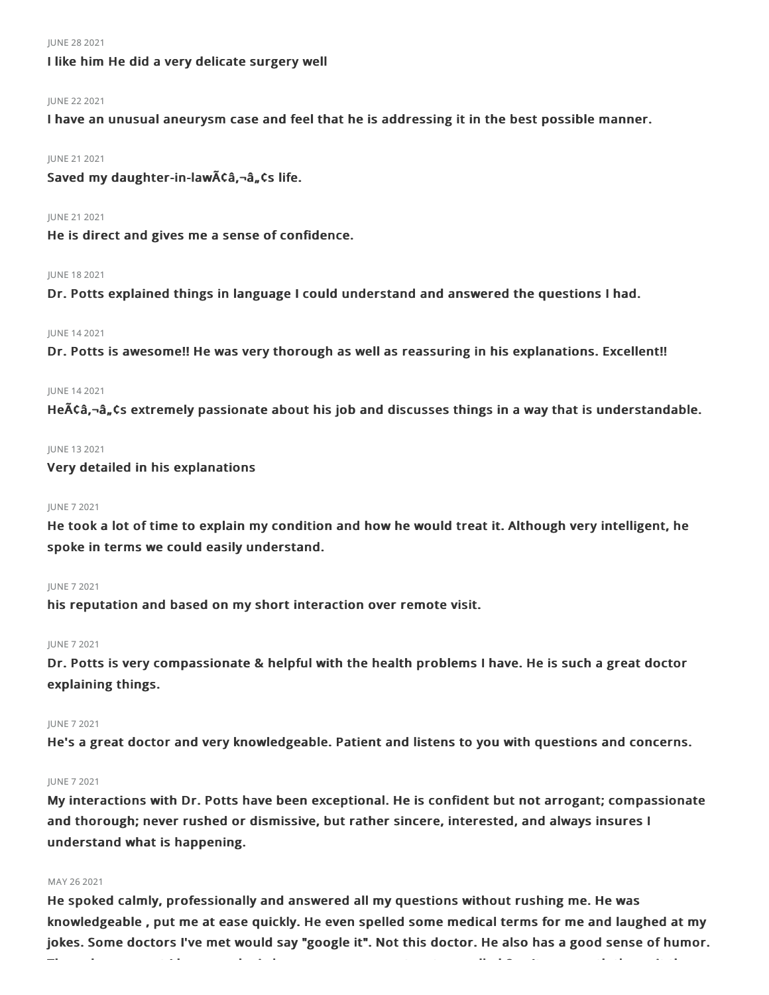#### JUNE 282021

## I like him He did a very delicate surgery well

#### JUNE 222021

I have an unusual aneurysm case and feel that he is addressing it in the best possible manner.

#### JUNE 212021

Saved my daughter-in-law $\tilde{A}$ Ca, $\tilde{a}$ , Cs life.

#### JUNE 212021

He is direct and gives me a sense of confidence.

#### JUNE 182021

Dr. Potts explained things in language I could understand and answered the questions I had.

## JUNE 142021

Dr. Potts is awesome!! He was very thorough as well as reassuring in his explanations. Excellent!!

#### JUNE 142021

He $\lambda$ Câ, $\nu$ â,, Cs extremely passionate about his job and discusses things in a way that is understandable.

#### JUNE 132021

Very detailed in his explanations

#### JUNE 72021

He took a lot of time to explain my condition and how he would treat it. Although very intelligent, he spoke in terms we could easily understand.

#### JUNE 72021

his reputation and based on my short interaction over remote visit.

#### JUNE 72021

Dr. Potts is very compassionate & helpful with the health problems I have. He is such a great doctor explaining things.

### JUNE 72021

He's a great doctor and very knowledgeable. Patient and listens to you with questions and concerns.

#### JUNE 72021

My interactions with Dr. Potts have been exceptional. He is confident but not arrogant; compassionate and thorough; never rushed or dismissive, but rather sincere, interested, and always insures I understand what is happening.

#### MAY 26 2021

He spoked calmly, professionally and answered all my questions without rushing me. He was knowledgeable , put me at ease quickly. He even spelled some medical terms for me and laughed at my jokes. Some doctors I've met would say "google it". Not this doctor. He also has a good sense of humor.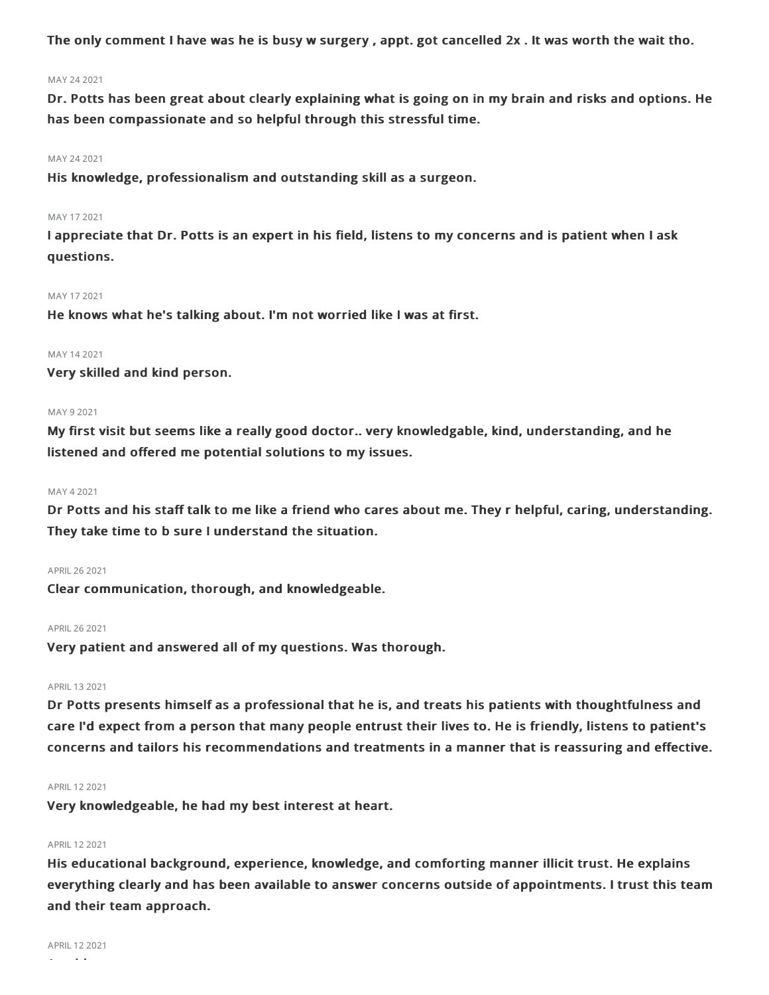The only comment I have was he is busy w surgery , appt. got cancelled 2x . It was worth the wait tho.

#### MAY 242021

Dr. Potts has been great about clearly explaining what is going on in my brain and risks and options. He has been compassionate and so helpful through this stressful time.

#### MAY 242021

His knowledge, professionalism and outstanding skill as a surgeon.

#### MAY 17 2021

I appreciate that Dr. Potts is an expert in his field, listens to my concerns and is patient when I ask questions.

#### MAY 172021

He knows what he's talking about. I'm not worried like I was at first.

#### MAY 142021

Very skilled and kind person.

#### MAY 9 2021

My first visit but seems like a really good doctor.. very knowledgable, kind, understanding, and he listened and offered me potential solutions to my issues.

#### MAY 42021

Dr Potts and his staff talk to me like a friend who cares about me. They r helpful, caring, understanding. They take time to b sure I understand the situation.

#### APRIL262021

Clear communication, thorough, and knowledgeable.

### APRIL262021

Very patient and answered all of my questions. Was thorough.

#### APRIL 13 2021

Dr Potts presents himself as a professional that he is, and treats his patients with thoughtfulness and care I'd expect from a person that many people entrust their lives to. He is friendly, listens to patient's concerns and tailors his recommendations and treatments in a manner that is reassuring and effective.

#### APRIL122021

Very knowledgeable, he had my best interest at heart.

#### APRIL 12 2021

His educational background, experience, knowledge, and comforting manner illicit trust. He explains everything clearly and has been available to answer concerns outside of appointments. I trust this team and their team approach.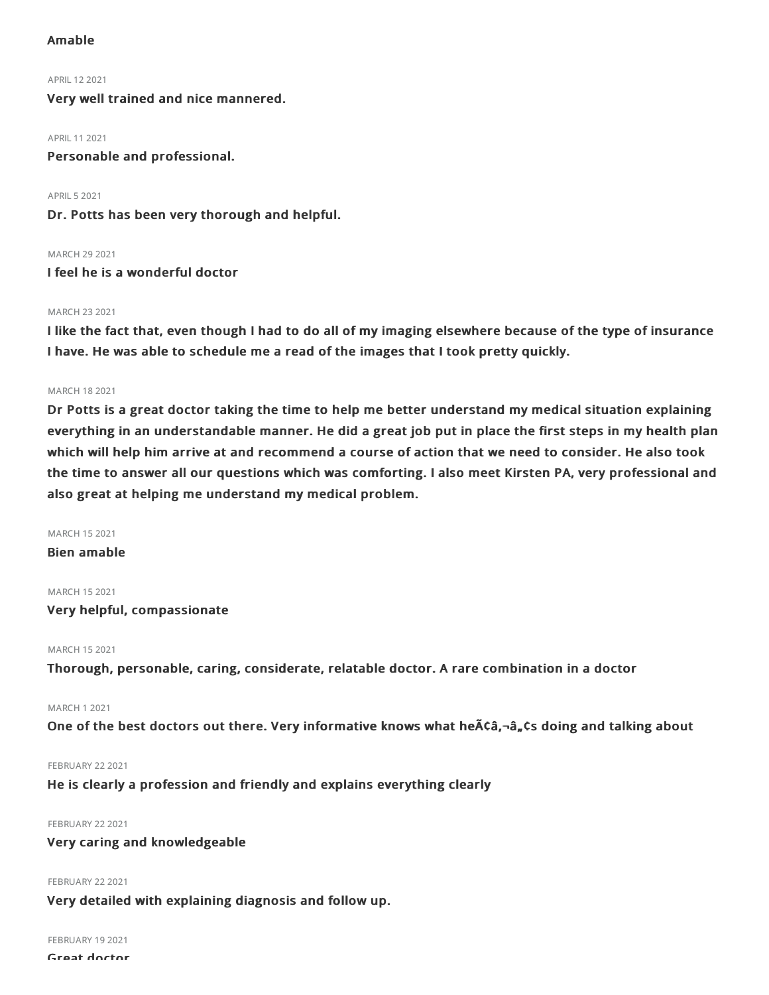## Amable

APRIL122021 Very well trained and nice mannered.

APRIL 11 2021

Personable and professional.

**APRIL 5 2021** Dr. Potts has been very thorough and helpful.

MARCH 29 2021 I feel he is a wonderful doctor

## MARCH 232021

I like the fact that, even though I had to do all of my imaging elsewhere because of the type of insurance I have. He was able to schedule me a read of the images that I took pretty quickly.

## MARCH 182021

Dr Potts is a great doctor taking the time to help me better understand my medical situation explaining everything in an understandable manner. He did a great job put in place the first steps in my health plan which will help him arrive at and recommend a course of action that we need to consider. He also took the time to answer all our questions which was comforting. I also meet Kirsten PA, very professional and also great at helping me understand my medical problem.

## MARCH 152021

Bien amable

## MARCH 152021

Very helpful, compassionate

MARCH 152021

Thorough, personable, caring, considerate, relatable doctor. A rare combination in a doctor

## MARCH 12021

One of the best doctors out there. Very informative knows what he $\tilde{A}$ ca, $-\hat{a}$ , cs doing and talking about

## **FEBRUARY 22 2021**

He is clearly a profession and friendly and explains everything clearly

## **FEBRUARY 22 2021**

## Very caring and knowledgeable

#### **FEBRUARY 22 2021**

Very detailed with explaining diagnosis and follow up.

FEBRUARY 19 2021

```
Great doctor
```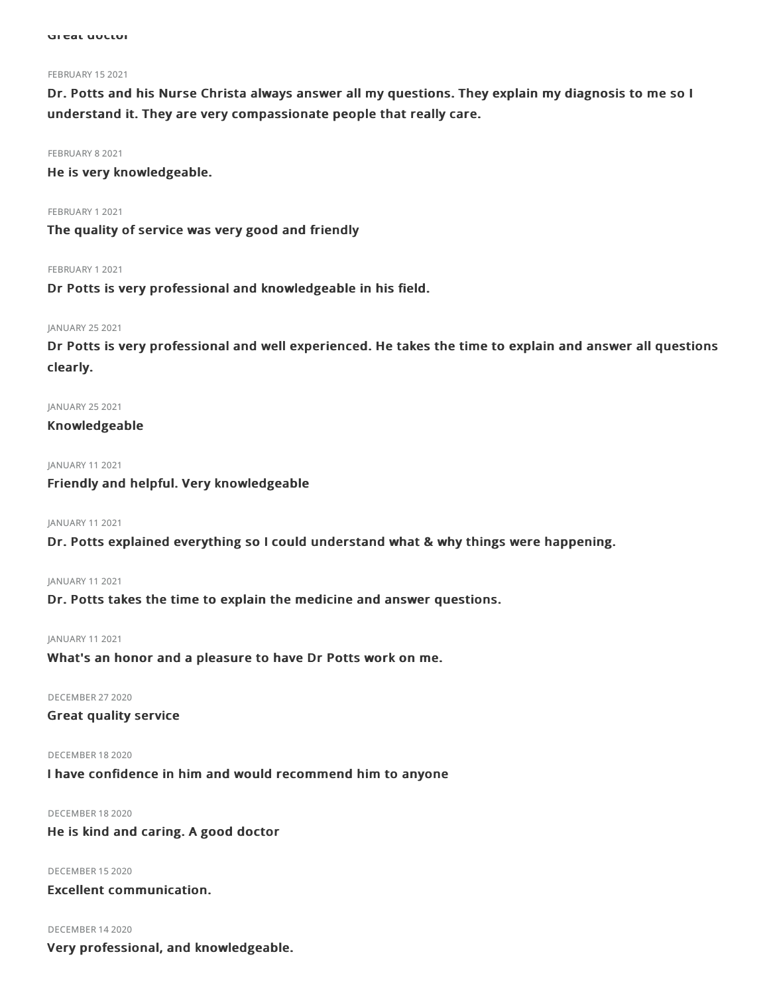#### FEBRUARY 15 2021

Dr. Potts and his Nurse Christa always answer all my questions. They explain my diagnosis to me so I understand it. They are very compassionate people that really care.

FEBRUARY 8 2021

He is very knowledgeable.

FEBRUARY 12021

The quality of service was very good and friendly

FEBRUARY 12021

Dr Potts is very professional and knowledgeable in his field.

## JANUARY 25 2021

Dr Potts is very professional and well experienced. He takes the time to explain and answer all questions clearly.

JANUARY 25 2021

Knowledgeable

JANUARY 112021

## Friendly and helpful. Very knowledgeable

JANUARY 112021

Dr. Potts explained everything so I could understand what & why things were happening.

JANUARY 112021

Dr. Potts takes the time to explain the medicine and answer questions.

## JANUARY 112021

What's an honor and a pleasure to have Dr Potts work on me.

DECEMBER 272020

Great quality service

DECEMBER 182020

I have confidence in him and would recommend him to anyone

DECEMBER 182020 He is kind and caring. A good doctor

DECEMBER 152020

Excellent communication.

DECEMBER 142020

Very professional, and knowledgeable.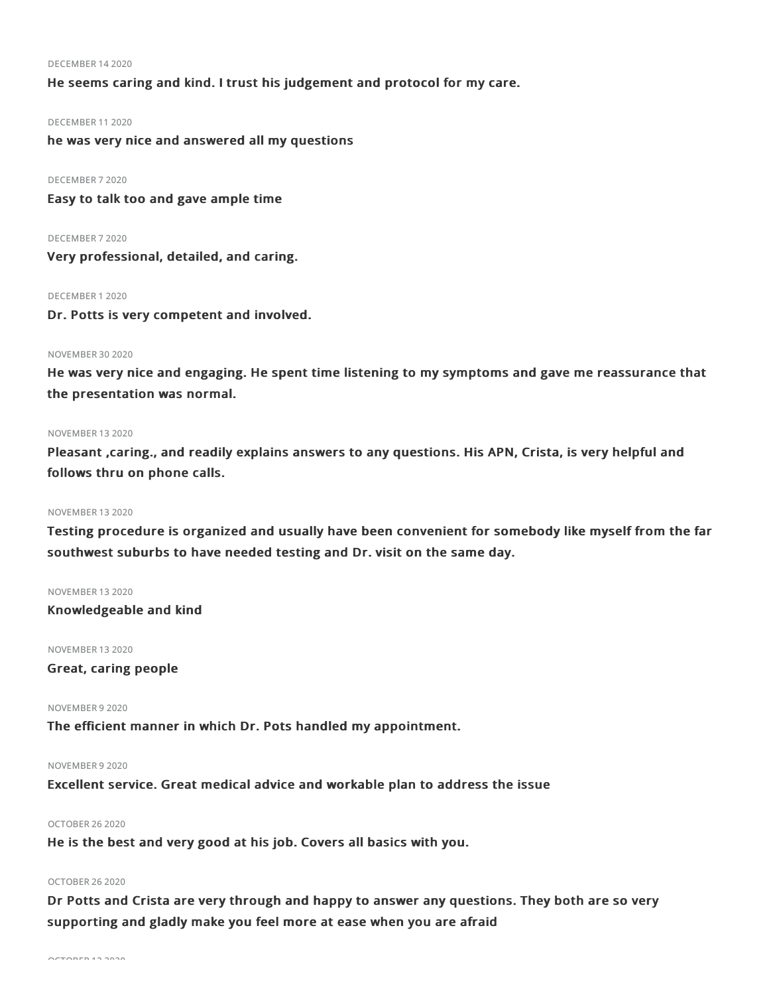#### DECEMBER 142020

He seems caring and kind. I trust his judgement and protocol for my care.

#### DECEMBER 112020

he was very nice and answered all my questions

### DECEMBER 72020

Easy to talk too and gave ample time

### DECEMBER 72020

Very professional, detailed, and caring.

### DECEMBER 12020

Dr. Potts is very competent and involved.

## NOVEMBER 302020

He was very nice and engaging. He spent time listening to my symptoms and gave me reassurance that the presentation was normal.

### NOVEMBER 132020

Pleasant ,caring., and readily explains answers to any questions. His APN, Crista, is very helpful and follows thru on phone calls.

## NOVEMBER 132020

Testing procedure is organized and usually have been convenient for somebody like myself from the far southwest suburbs to have needed testing and Dr. visit on the same day.

#### NOVEMBER 132020

Knowledgeable and kind

NOVEMBER 132020

## Great, caring people

## NOVEMBER 92020

The efficient manner in which Dr. Pots handled my appointment.

## NOVEMBER 92020

Excellent service. Great medical advice and workable plan to address the issue

## OCTOBER 262020

He is the best and very good at his job. Covers all basics with you.

#### OCTOBER 262020

Dr Potts and Crista are very through and happy to answer any questions. They both are so very supporting and gladly make you feel more at ease when you are afraid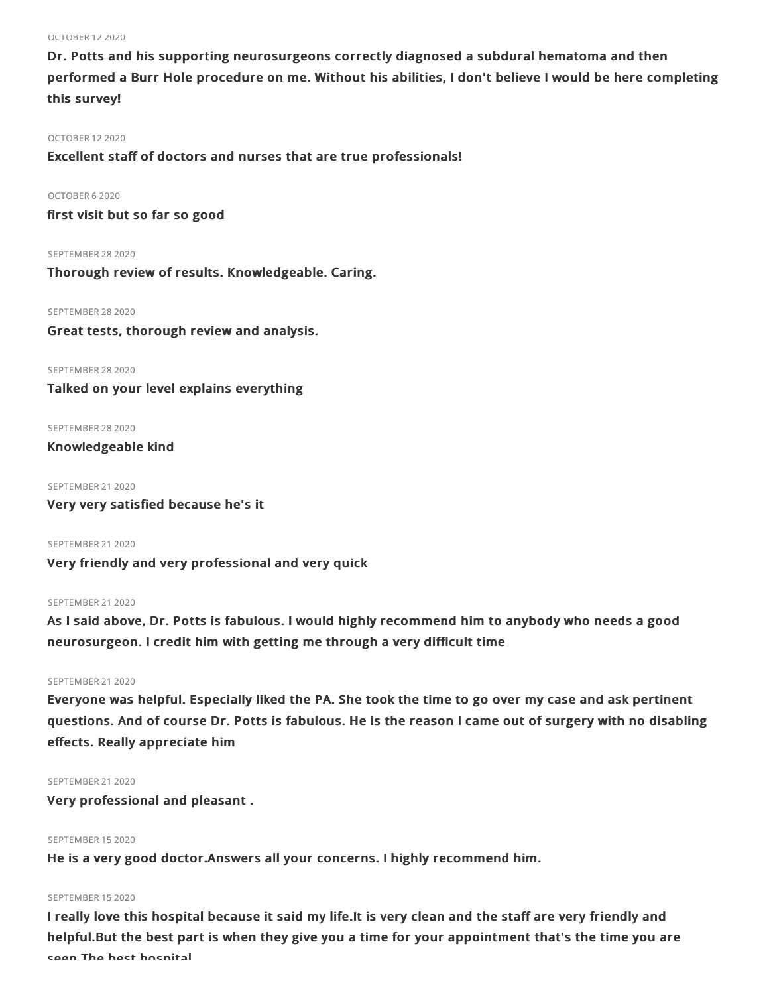OCTOBER 122020

Dr. Potts and his supporting neurosurgeons correctly diagnosed a subdural hematoma and then performed a Burr Hole procedure on me. Without his abilities, I don't believe I would be here completing this survey!

#### OCTOBER 122020

Excellent staff of doctors and nurses that are true professionals!

#### OCTOBER 62020

first visit but so far so good

SEPTEMBER 28 2020

Thorough review of results. Knowledgeable. Caring.

SEPTEMBER 28 2020 Great tests, thorough review and analysis.

SEPTEMBER 28 2020 Talked on your level explains everything

SEPTEMBER 28 2020

Knowledgeable kind

SEPTEMBER 21 2020 Very very satisfied because he's it

SEPTEMBER 21 2020 Very friendly and very professional and very quick

## SEPTEMBER 21 2020

As I said above, Dr. Potts is fabulous. I would highly recommend him to anybody who needs a good neurosurgeon. I credit him with getting me through a very difficult time

## SEPTEMBER 21 2020

Everyone was helpful. Especially liked the PA. She took the time to go over my case and ask pertinent questions. And of course Dr. Potts is fabulous. He is the reason I came out of surgery with no disabling effects. Really appreciate him

## SEPTEMBER 21 2020

Very professional and pleasant .

## SEPTEMBER 15 2020

He is a very good doctor.Answers all your concerns. I highly recommend him.

#### SEPTEMBER 152020

I really love this hospital because it said my life.It is very clean and the staff are very friendly and helpful.But the best part is when they give you a time for your appointment that's the time you are seen.The best hospital.